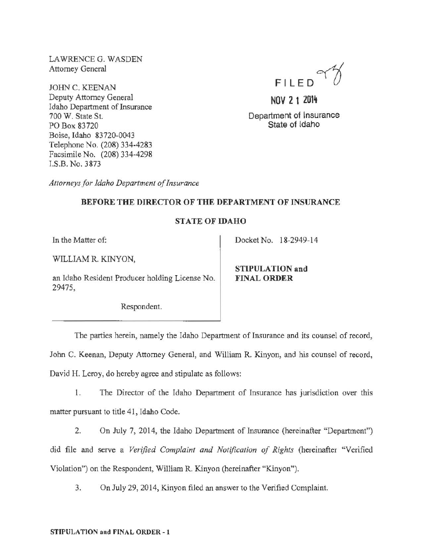LAWRENCE G. WASDEN Attorney General

JOHN C. KEENAN Deputy Attorney General Idaho Department of Insurance 700 W. State St. PO Box 83720 Boise, Idaho 83720-0043 Telephone No. (208) 334-4283 Facsimile No. (208) 334-4298 I.S.B. No. 3873

FILED~

NOV 2 1 2014

Department of Insurance State of Idaho

*Attorneys for Idaho Department of Insurance* 

### BEFORE THE DIRECTOR OF THE DEPARTMENT OF INSURANCE

## STATE OF IDAHO

In the Matter of:

WILLIAM R. KINYON,

an Idaho Resident Producer holding License No. 29475,

STIPULATION and

FINAL ORDER

Docket No. 18-2949-14

Respondent.

The parties herein, namely the Idaho Department of Insurance and its counsel of record,

John C. Keenan, Deputy Attorney General, and William R. Kinyon, and his counsel of record, David H. Leroy, do hereby agree and stipulate as follows:

1. The Director of the Idaho Department of Insurance has jurisdiction over this matter pursuant to title 41, Idaho Code.

2. On July 7, 2014, the Idaho Department of Insurance (hereinafter "Department'') did file and serve a *Verified Complaint and Notification of Rights* (hereinafter "Verified Violation'') on the Respondent, William R. Kinyon (hereinafter "Kinyon").

3. On July 29, 2014, Kinyon filed an answer to the Verified Complaint.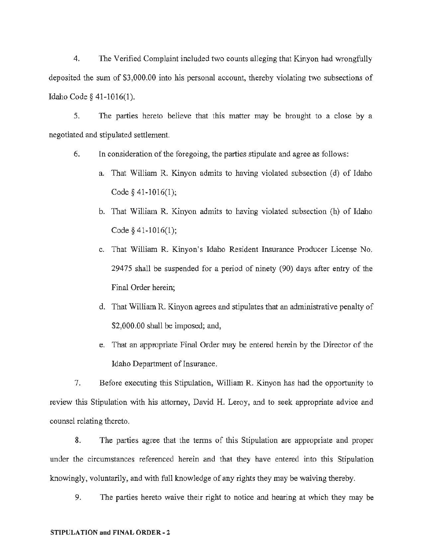4. The Verified Complaint included two counts alleging that Kinyon had wrongfully deposited the sum of \$3,000.00 into his personal account, thereby violating two subsections of Idaho Code§ 41-1016(1).

5. The parties hereto believe that this matter may be brought to a close by a negotiated and stipulated settlement.

- 6. In consideration of the foregoing, the parties stipulate and agree as follows:
	- a. That William R. Kinyon admits to having violated subsection (d) of Idaho Code§ 41-1016(1);
	- b. That William R. Kinyon admits to having violated subsection (h) of Idaho Code§ 41-1016(1);
	- c. That William R. Kinyon's Idaho Resident Insurance Producer License No. 29475 shall be suspended for a period of ninety (90) days after entry of the Final Order herein;
	- d. That William R. Kinyon agrees and stipulates that an administrative penalty of \$2,000.00 shall be imposed; and,
	- e. That an appropriate Final Order may be entered herein by the Director of the Idaho Department of Insurance.

7. Before executing this Stipulation, William R. Kinyon has had the opportunity to review this Stipulation with his attorney, David H. Leroy, and to seek appropriate advice and counsel relating thereto.

8. The parties agree that the terms of this Stipulation are appropriate and proper under the circumstances referenced herein and that they have entered into this Stipulation knowingly, voluntarily, and with full knowledge of any rights they may be waiving thereby.

9. The parties hereto waive their right to notice and hearing at which they may be

#### STIPULATION and FINAL ORDER- 2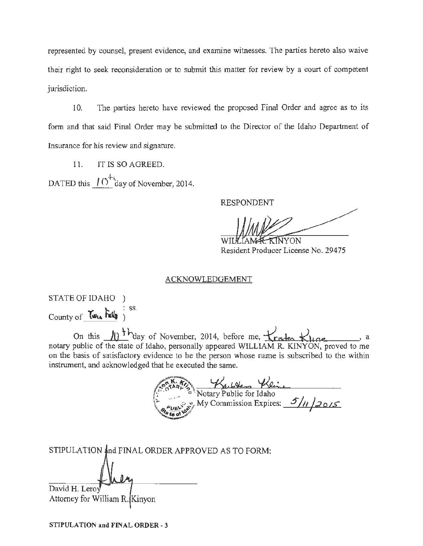represented by counsel, present evidence, and examine witnesses. The parties hereto also waive their right to seek reconsideration or to submit this matter for review by a court of competent jurisdiction.

10. The parties hereto have reviewed the proposed Final Order and agree as to its form and that said Final Order may be submitted to the Director of the Idaho Department of Insurance for his review and signature.

11. IT IS SO AGREED. DATED this  $10^{+2}$  day of November, 2014.

RESPONDENT

WILLIAM RESIDENT NON Resident Producer License No. 29475

#### ACKNOWLEDGEMENT

STATE OF IDAHO ) County of  $Tw_{th}$   $Tw_{th}$ <sup>: ss.</sup>

On this  $\sqrt{10^{-1}}$  day of November, 2014, before me,  $\pm \sqrt{\text{r}_{15} + \text{r}_{26}}$ . notary public of the state of Idaho, personally appeared WILLIAM R. KINYON, proved to me on the basis of satisfactory evidence to he the person whose name is subscribed to the within instrument, and acknowledged that he executed the same.

Notary Public for Idaho<br>Motary Public for Idaho<br>My Commission Expires: 5/11/2015

| STIPULATION and FINAL ORDER APPROVED AS TO FORM: |
|--------------------------------------------------|
|                                                  |
|                                                  |
| David H. Leroy                                   |
| Attorney for William R. Kinyon                   |

STIPULATION and FINAL ORDER- 3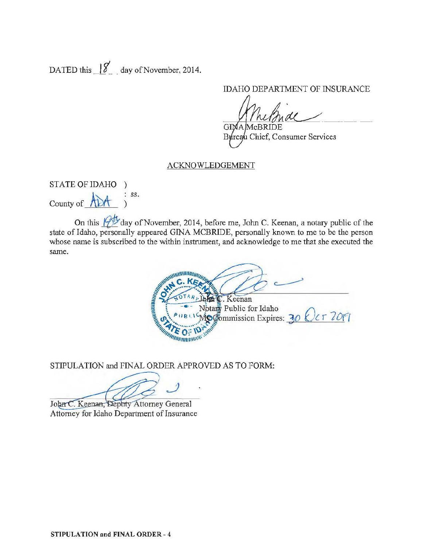DATED this  $\frac{1}{8}$  day of November, 2014.

IDAHO DEPARTMENT OF INSURANCE

GIMA McBRIDE. Bureau Chief, Consumer Services

### ACKNOWLEDGEMENT

STATE OF IDAHO ) County of  $A\rightarrow$  : ss. )

On this **follow** day of November, 2014, before me, John C. Keenan, a notary public of the state of Idaho, personally appeared GINA MCBRIDE, personally known to me to be the person whose name is subscribed to the within instrument, and acknowledge to me that she executed the same.

**WWWWWITTING** E. Keenan **HUNHAI** Notary Public for Idaho ptary Public for Idaho<br> $\circledcirc$  Expires: 30  $Qcr$  70[ *MARITAN CE TELEVINAL* n

STIPULATION and FINAL ORDER APPROVED AS TO FORM:

John C. Keenan, Deputy Attorney General Attorney for Idaho Department of Insurance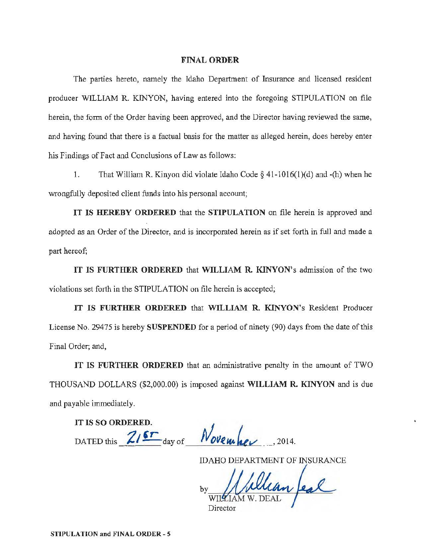#### FINAL ORDER

The parties hereto, namely the Idaho Department of Insurance and licensed resident producer WILLIAM R. KINYON, having entered into the foregoing STIPULATION on file herein, the form of the Order having been approved, and the Director having reviewed the same, and having found that there is a factual basis for the matter as alleged herein, does hereby enter his Findings of Fact and Conclusions of Law as follows:

1. That William R. Kinyon did violate Idaho Code§ 41-1016(1)(d) and -(h) when he wrongfully deposited client funds into his personal account;

IT IS HEREBY ORDERED that the STIPULATION on file herein is approved and adopted as an Order of the Director, and is incorporated herein as if set forth in full and made a part hereof;

IT IS FURTHER ORDERED that WILLIAM R. KINYON's admission of the two violations set forth in the STIPULATION on file herein is accepted;

IT IS FURTHER ORDERED that WILLIAM R. KINYON's Resident Producer License No. 29475 is hereby SUSPENDED for a period of ninety (90) days from the date of this Final Order; and,

IT IS FURTHER ORDERED that an administrative penalty in the amount of TWO THOUSAND DOLLARS (\$2,000.00) is imposed against WILLIAM R. KINYON and is due and payable immediately.

IT IS SO ORDERED. DATED this  $\frac{ZI5T}{\text{day of}}$  *November*, 2014.

IDAHO DEPARTMENT OF INSURANCE

William feal by Director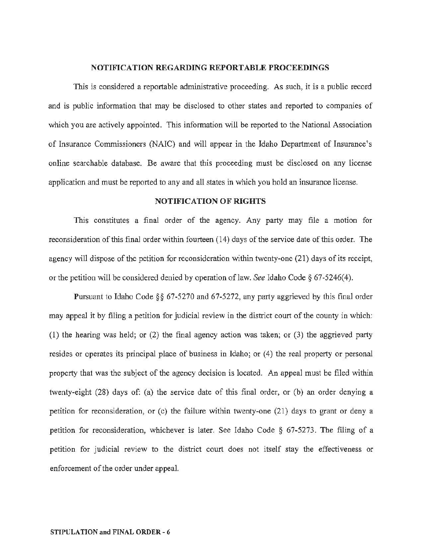#### NOTIFICATION REGARDING REPORTABLE PROCEEDINGS

This is considered a reportable administrative proceeding. As such, it is a public record and is public information that may be disclosed to other states and reported to companies of which you are actively appointed. This information will be reported to the National Association of Insurance Commissioners (NAIC) and will appear in the Idaho Department of Insurance's online searchable database. Be aware that this proceeding must be disclosed on any license application and must be reported to any and all states in which you hold an insurance license.

### NOTIFICATION OF RIGHTS

This constitutes a final order of the agency. Any party may file a motion for reconsideration of this final order within fourteen (14) days of the service date of this order. The agency will dispose of the petition for reconsideration within twenty-one (21) days of its receipt, or the petition will be considered denied by operation oflaw. *See* Idaho Code § 67 -5246(4).

Pursuant to Idaho Code§§ 67-5270 and 67-5272, any party aggrieved by this final order may appeal it by filing a petition for judicial review in the district court of the county in which: (1) the hearing was held; or (2) the final agency action was taken; or (3) the aggrieved party resides or operates its principal place of business in Idaho; or (4) the real property or personal property that was the subject of the agency decision is located. An appeal must be filed within twenty~eight (28) days of: (a) the service date of this final order, or (b) an order denying a petition for reconsideration, or (c) the failure within twenty-one (21) days to grant or deny a petition for reconsideration, whichever is later. See Idaho Code § 67-5273. The filing of a petition for judicial review to the district court does not itself stay the effectiveness or enforcement of the order under appeal.